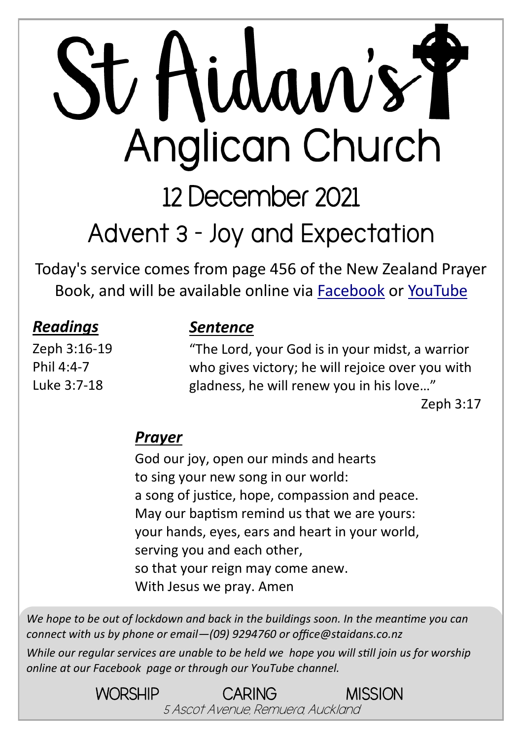# St Hidaw's Y **Anglican Church** 12 December 2021

# **Advent 3 - Joy and Expectation**

Today's service comes from page 456 of the New Zealand Prayer Book, and will be available online via [Facebook](https://www.facebook.com/StAidansRemuera/) or [YouTube](https://www.youtube.com/channel/UCp1KTUD3GRs20GGAFeAZ7fQ)

| <b>Readings</b> |  |  |  |  |
|-----------------|--|--|--|--|
| Zeph 3:16-19    |  |  |  |  |

Phil 4:4-7 Luke 3:7-18

#### *Sentence*

"The Lord, your God is in your midst, a warrior who gives victory; he will rejoice over you with gladness, he will renew you in his love…"

Zeph 3:17

#### *Prayer*

God our joy, open our minds and hearts to sing your new song in our world: a song of justice, hope, compassion and peace. May our baptism remind us that we are yours: your hands, eyes, ears and heart in your world, serving you and each other, so that your reign may come anew. With Jesus we pray. Amen

*We hope to be out of lockdown and back in the buildings soon. In the meantime you can connect with us by phone or email—(09) 9294760 or office@staidans.co.nz*

*While our regular services are unable to be held we hope you will still join us for worship online at our Facebook page or through our YouTube channel.*

> WORSHIP CARING MISSION 5 Ascot Avenue, Remuera, Auckland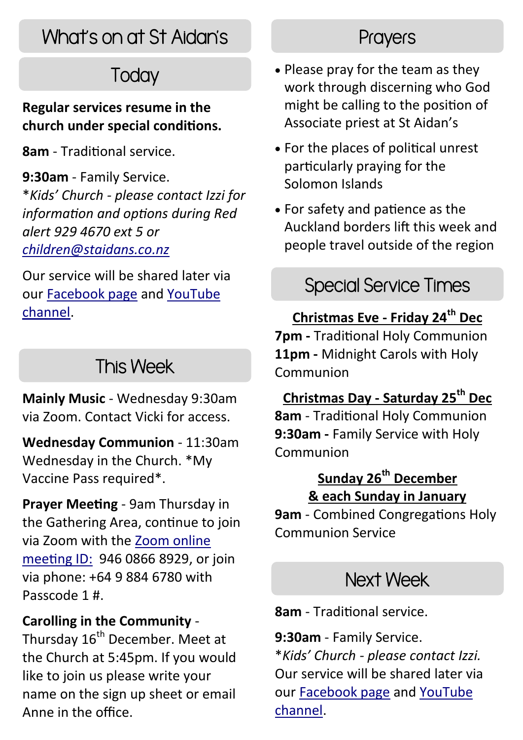## What's on at St Aidan's

## **Today**

#### **Regular services resume in the church under special conditions.**

**8am** - Traditional service.

**9:30am** - Family Service. \**Kids' Church - please contact Izzi for information and options during Red alert 929 4670 ext 5 or [children@staidans.co.nz](mailto:children@staidans.co.nz?subject=Kids)* 

Our service will be shared later via our [Facebook page](https://www.facebook.com/StAidansRemuera/) and [YouTube](https://www.youtube.com/channel/UCp1KTUD3GRs20GGAFeAZ7fQ)  [channel.](https://www.youtube.com/channel/UCp1KTUD3GRs20GGAFeAZ7fQ)

## This Week

**Mainly Music** - Wednesday 9:30am via Zoom. Contact Vicki for access.

**Wednesday Communion** - 11:30am Wednesday in the Church. \*My Vaccine Pass required\*.

**Prayer Meeting** - 9am Thursday in the Gathering Area, continue to join via Zoom with the [Zoom online](https://zoom.us/j/94608668929?pwd=TkZLeU1MY2d5eUpqeTJ5WUJTRHlVUT09)  [meeting ID:](https://zoom.us/j/94608668929?pwd=TkZLeU1MY2d5eUpqeTJ5WUJTRHlVUT09) 946 0866 8929, or join via phone: +64 9 884 6780 with Passcode 1 #.

#### **Carolling in the Community** -

Thursday 16<sup>th</sup> December. Meet at the Church at 5:45pm. If you would like to join us please write your name on the sign up sheet or email Anne in the office.

## **Prayers**

- Please pray for the team as they work through discerning who God might be calling to the position of Associate priest at St Aidan's
- For the places of political unrest particularly praying for the Solomon Islands
- For safety and patience as the Auckland borders lift this week and people travel outside of the region

## Special Service Times

#### **Christmas Eve - Friday 24th Dec**

**7pm -** Traditional Holy Communion **11pm -** Midnight Carols with Holy Communion

#### **Christmas Day - Saturday 25th Dec**

**8am** - Traditional Holy Communion **9:30am -** Family Service with Holy Communion

#### **Sunday 26th December & each Sunday in January**

**9am** - Combined Congregations Holy Communion Service

## Next Week

**8am** - Traditional service.

**9:30am** - Family Service. \**Kids' Church - please contact Izzi.* Our service will be shared later via our [Facebook page](https://www.facebook.com/StAidansRemuera/) and [YouTube](https://www.youtube.com/channel/UCp1KTUD3GRs20GGAFeAZ7fQ)  [channel.](https://www.youtube.com/channel/UCp1KTUD3GRs20GGAFeAZ7fQ)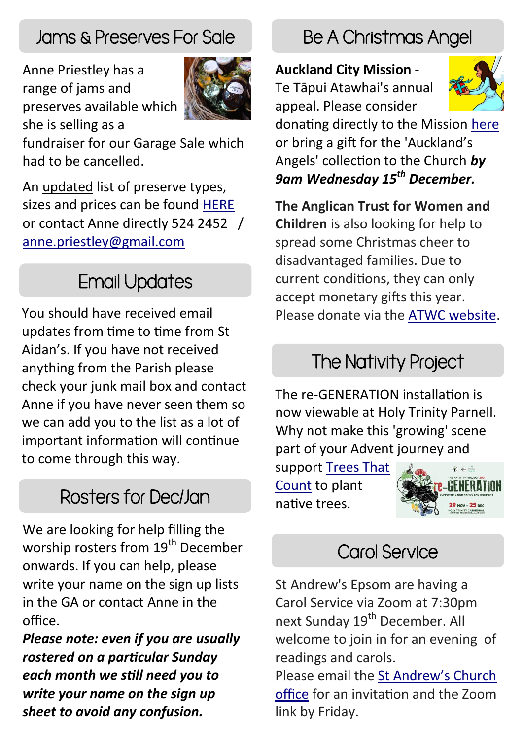## Jams & Preserves For Sale

Anne Priestley has a range of jams and preserves available which she is selling as a



fundraiser for our Garage Sale which had to be cancelled.

An updated list of preserve types, sizes and prices can be found [HERE](https://www.staidans.co.nz/wp-content/uploads/2021/11/Preserves-Nov-2021.pdf) or contact Anne directly 524 2452 / [anne.priestley@gmail.com](mailto:anne.priestley@gmail.com?subject=Preserves)

## Email Updates

You should have received email updates from time to time from St Aidan's. If you have not received anything from the Parish please check your junk mail box and contact Anne if you have never seen them so we can add you to the list as a lot of important information will continue to come through this way.

## Rosters for Dec/Jan

We are looking for help filling the worship rosters from 19<sup>th</sup> December onwards. If you can help, please write your name on the sign up lists in the GA or contact Anne in the office.

*Please note: even if you are usually rostered on a particular Sunday each month we still need you to write your name on the sign up sheet to avoid any confusion.*

## Be A Christmas Angel

#### **Auckland City Mission** -

Te Tāpui Atawhai's annual appeal. Please consider



donating directly to the Mission [here](https://www.aucklandcitymission.org.nz/donate/) or bring a gift for the 'Auckland's Angels' collection to the Church *by 9am Wednesday 15th December.*

**The Anglican Trust for Women and Children** is also looking for help to spread some Christmas cheer to disadvantaged families. Due to current conditions, they can only accept monetary gifts this year. Please donate via the [ATWC website.](https://atwc.org.nz/get-involved/donate/) 

## The Nativity Project

The re-GENERATION installation is now viewable at Holy Trinity Parnell. Why not make this 'growing' scene part of your Advent journey and

support [Trees That](https://www.facebook.com/TreesThatCount/?__cft__%5b0%5d=AZUvz5DYVdO_XmxkFMcgiALCHjeWGy7aIzfUdubee2SgfsWi1Cv1HHQZj0hcebmmPC6BtP0KdSPMoet2Lm28aT9cospTXI9RXvZex2-l4g65hGsodS2vacnujbqKKzkZ--tEvDjHRtMw6rIgjoRcYTfCJWHR2LbtOaN-iZEsT2QOQA&__tn__=kK-R)  [Count](https://www.facebook.com/TreesThatCount/?__cft__%5b0%5d=AZUvz5DYVdO_XmxkFMcgiALCHjeWGy7aIzfUdubee2SgfsWi1Cv1HHQZj0hcebmmPC6BtP0KdSPMoet2Lm28aT9cospTXI9RXvZex2-l4g65hGsodS2vacnujbqKKzkZ--tEvDjHRtMw6rIgjoRcYTfCJWHR2LbtOaN-iZEsT2QOQA&__tn__=kK-R) to plant native trees.



## Carol Service

St Andrew's Epsom are having a Carol Service via Zoom at 7:30pm next Sunday 19<sup>th</sup> December. All welcome to join in for an evening of readings and carols.

Please email the [St Andrew's Church](mailto:office@standrewsepsom.org.nz?subject=Carol%20Service%20Zoom%20Link)  [office](mailto:office@standrewsepsom.org.nz?subject=Carol%20Service%20Zoom%20Link) for an invitation and the Zoom link by Friday.